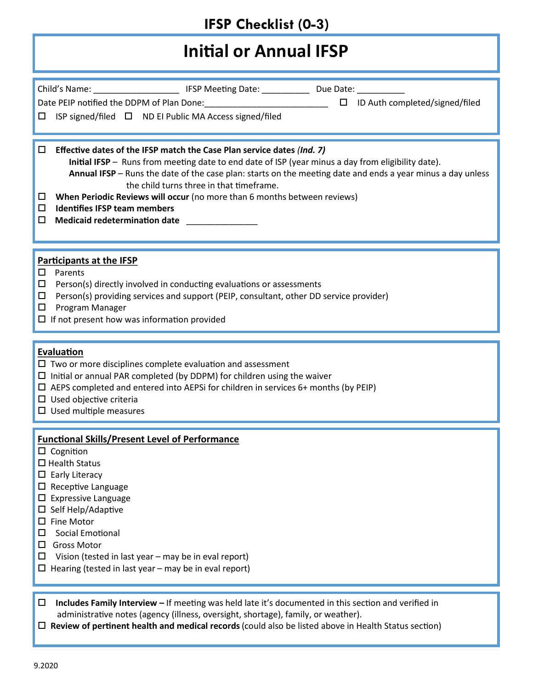# **Initial or Annual IFSP**

| Child's Name: ________________________________ IFSP Meeting Date: _______________ Due Date: _____________<br>Date PEIP notified the DDPM of Plan Done:<br><u> Late PEIP notified the DDPM of Plan Done: Late 2000 Late 2000</u> LD Auth completed/signed/filed<br>ISP signed/filed □ ND EI Public MA Access signed/filed<br>□                                                                                                                                                                                          |
|------------------------------------------------------------------------------------------------------------------------------------------------------------------------------------------------------------------------------------------------------------------------------------------------------------------------------------------------------------------------------------------------------------------------------------------------------------------------------------------------------------------------|
| Effective dates of the IFSP match the Case Plan service dates (Ind. 7)<br>□<br>Initial IFSP - Runs from meeting date to end date of ISP (year minus a day from eligibility date).<br>Annual IFSP - Runs the date of the case plan: starts on the meeting date and ends a year minus a day unless<br>the child turns three in that timeframe.<br>When Periodic Reviews will occur (no more than 6 months between reviews)<br>◻<br><b>Identifies IFSP team members</b><br>◻<br><b>Medicaid redetermination date</b><br>□ |
| <b>Participants at the IFSP</b><br>□<br>Parents<br>Person(s) directly involved in conducting evaluations or assessments<br>□<br>Person(s) providing services and support (PEIP, consultant, other DD service provider)<br>□<br>Program Manager<br>□<br>$\Box$ If not present how was information provided                                                                                                                                                                                                              |
| Evaluation<br>$\Box$ Two or more disciplines complete evaluation and assessment<br>$\Box$ Initial or annual PAR completed (by DDPM) for children using the waiver<br>$\Box$ AEPS completed and entered into AEPSi for children in services 6+ months (by PEIP)<br>$\square$ Used objective criteria<br>$\Box$ Used multiple measures                                                                                                                                                                                   |
| <b>Functional Skills/Present Level of Performance</b><br>$\Box$ Cognition<br>$\Box$ Health Status<br>Early Literacy<br>ш.<br>$\square$ Receptive Language<br><b>Expressive Language</b><br>ப<br>$\Box$ Self Help/Adaptive<br>$\square$ Fine Motor<br>Social Emotional<br>ப<br><b>Gross Motor</b><br>ப<br>Vision (tested in last year - may be in eval report)<br>ப<br>$\Box$ Hearing (tested in last year – may be in eval report)                                                                                     |
| Includes Family Interview - If meeting was held late it's documented in this section and verified in<br>□<br>administrative notes (agency (illness, oversight, shortage), family, or weather).<br>$\Box$ Review of pertinent health and medical records (could also be listed above in Health Status section)                                                                                                                                                                                                          |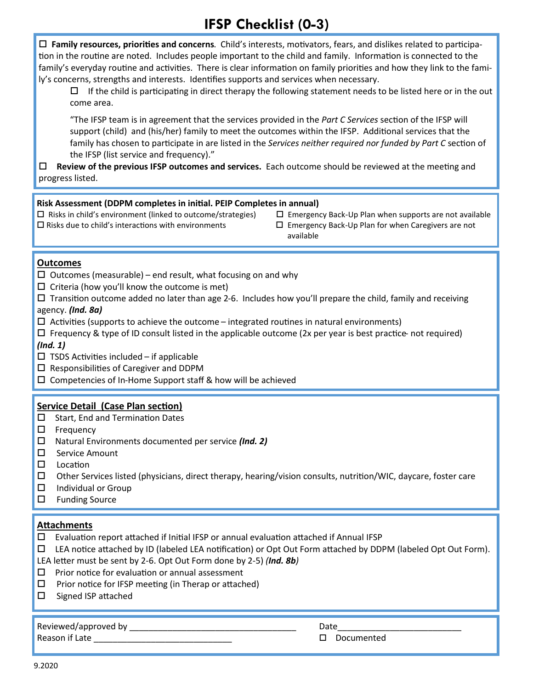**Family resources, priorities and concerns**. Child's interests, motivators, fears, and dislikes related to participation in the routine are noted. Includes people important to the child and family. Information is connected to the family's everyday routine and activities. There is clear information on family priorities and how they link to the family's concerns, strengths and interests. Identifies supports and services when necessary.

 $\Box$  If the child is participating in direct therapy the following statement needs to be listed here or in the out come area.

"The IFSP team is in agreement that the services provided in the *Part C Services* section of the IFSP will support (child) and (his/her) family to meet the outcomes within the IFSP. Additional services that the family has chosen to participate in are listed in the *Services neither required nor funded by Part C* section of the IFSP (list service and frequency)."

 **Review of the previous IFSP outcomes and services.** Each outcome should be reviewed at the meeting and progress listed.

#### **Risk Assessment (DDPM completes in initial. PEIP Completes in annual)**

- $\Box$  Risks due to child's interactions with environments  $\Box$  Emergency Back-Up Plan for when Caregivers are not
- Risks in child's environment (linked to outcome/strategies) Emergency Back-Up Plan when supports are not available
	- available

#### **Outcomes**

- $\Box$  Outcomes (measurable) end result, what focusing on and why
- $\Box$  Criteria (how you'll know the outcome is met)
- $\Box$  Transition outcome added no later than age 2-6. Includes how you'll prepare the child, family and receiving agency. *(Ind. 8a)*
- $\Box$  Activities (supports to achieve the outcome integrated routines in natural environments)
- $\Box$  Frequency & type of ID consult listed in the applicable outcome (2x per year is best practice- not required) *(Ind. 1)*
- $\square$  TSDS Activities included if applicable
- $\square$  Responsibilities of Caregiver and DDPM
- $\square$  Competencies of In-Home Support staff & how will be achieved

#### **Service Detail (Case Plan section)**

- $\square$  Start, End and Termination Dates
- □ Frequency
- Natural Environments documented per service *(Ind. 2)*
- □ Service Amount
- $\square$  Location
- $\Box$  Other Services listed (physicians, direct therapy, hearing/vision consults, nutrition/WIC, daycare, foster care
- $\Box$  Individual or Group
- $\Box$  Funding Source

#### **Attachments**

- $\square$  Evaluation report attached if Initial IFSP or annual evaluation attached if Annual IFSP
- LEA notice attached by ID (labeled LEA notification) or Opt Out Form attached by DDPM (labeled Opt Out Form).

LEA letter must be sent by 2-6. Opt Out Form done by 2-5) *(Ind. 8b)*

- $\square$  Prior notice for evaluation or annual assessment
- $\Box$  Prior notice for IFSP meeting (in Therap or attached)
- $\square$  Signed ISP attached

### Reviewed/approved by \_\_\_\_\_\_\_\_\_\_\_\_\_\_\_\_\_\_\_\_\_\_\_\_\_\_\_\_\_\_\_\_\_\_\_ Date\_\_\_\_\_\_\_\_\_\_\_\_\_\_\_\_\_\_\_\_\_\_\_\_\_\_

Reason if Late \_\_\_\_\_\_\_\_\_\_\_\_\_\_\_\_\_\_\_\_\_\_\_\_\_\_\_\_\_ Documented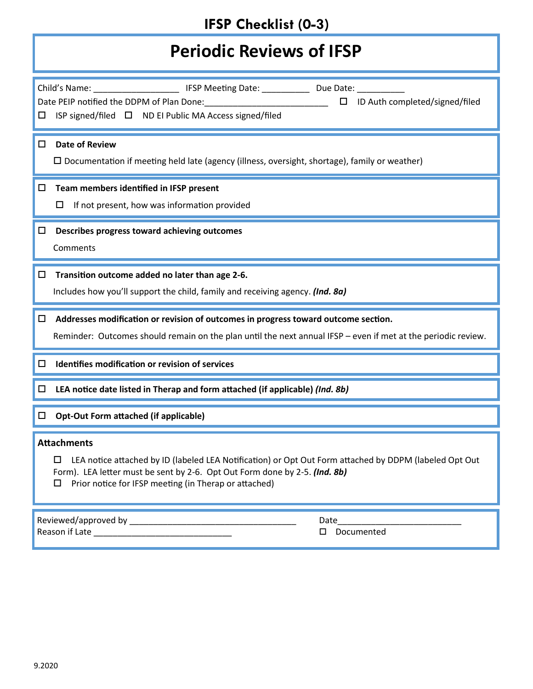# **Periodic Reviews of IFSP**

| Child's Name: _____________________________ IFSP Meeting Date: _________________ Due Date: ______________<br>Date PEIP notified the DDPM of Plan Done: National Processors Control of Plan Done:<br>$\Box$ ID Auth completed/signed/filed<br>ISP signed/filed $\Box$ ND EI Public MA Access signed/filed<br>□ |
|---------------------------------------------------------------------------------------------------------------------------------------------------------------------------------------------------------------------------------------------------------------------------------------------------------------|
| <b>Date of Review</b><br>$\Box$<br>$\Box$ Documentation if meeting held late (agency (illness, oversight, shortage), family or weather)                                                                                                                                                                       |
| Team members identified in IFSP present<br>$\Box$<br>If not present, how was information provided<br>ப                                                                                                                                                                                                        |
| $\Box$ Describes progress toward achieving outcomes<br>Comments                                                                                                                                                                                                                                               |
| Transition outcome added no later than age 2-6.<br>Includes how you'll support the child, family and receiving agency. (Ind. 8a)                                                                                                                                                                              |
| Addresses modification or revision of outcomes in progress toward outcome section.                                                                                                                                                                                                                            |
| Reminder: Outcomes should remain on the plan until the next annual IFSP - even if met at the periodic review.                                                                                                                                                                                                 |
| Identifies modification or revision of services<br>$\Box$                                                                                                                                                                                                                                                     |
| LEA notice date listed in Therap and form attached (if applicable) (Ind. 8b)<br>□                                                                                                                                                                                                                             |
| <b>Opt-Out Form attached (if applicable)</b><br>□                                                                                                                                                                                                                                                             |
| <b>Attachments</b><br>LEA notice attached by ID (labeled LEA Notification) or Opt Out Form attached by DDPM (labeled Opt Out<br>ப<br>Form). LEA letter must be sent by 2-6. Opt Out Form done by 2-5. (Ind. 8b)<br>Prior notice for IFSP meeting (in Therap or attached)<br>П                                 |